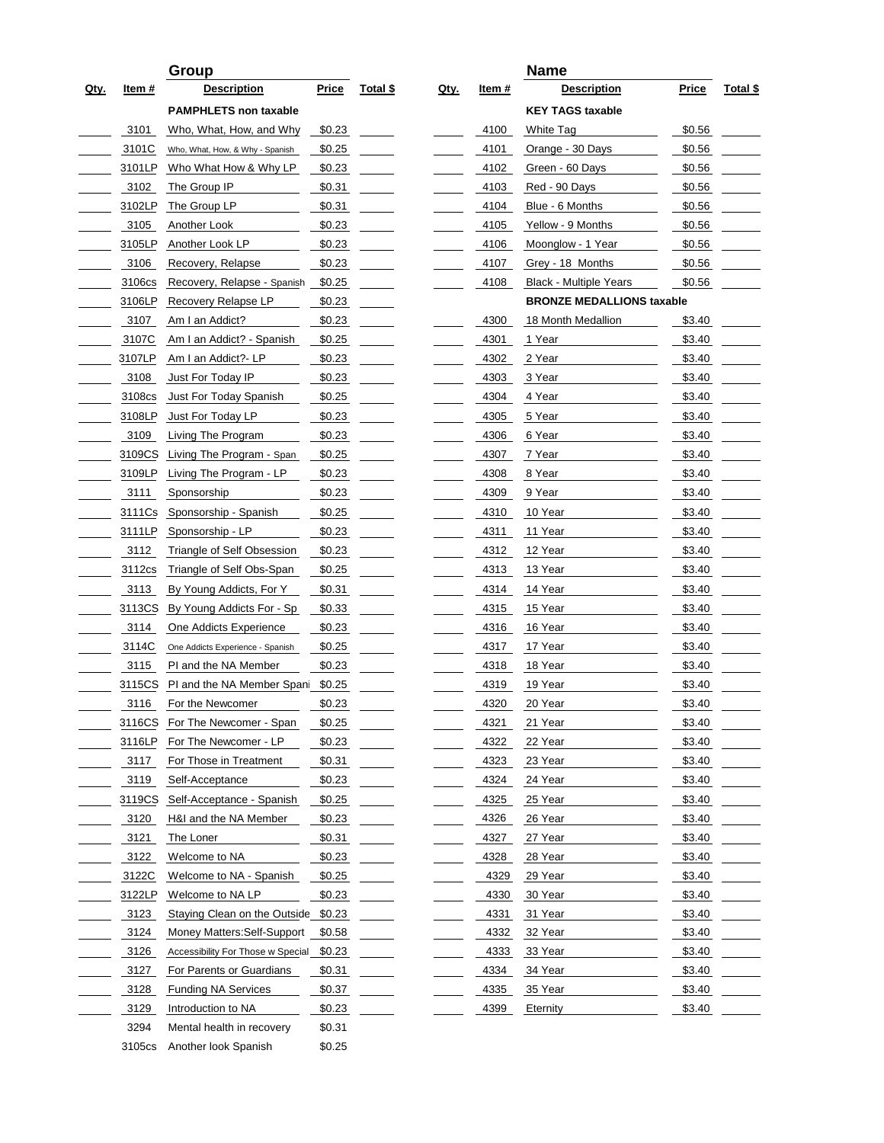| Price<br><b>Description</b><br><b>Price</b><br><u>Description</u><br><u>Total \$</u><br><u>Qty.</u><br>Item #<br><u>Total \$</u><br><u>Qty.</u><br><u>Item #</u><br><b>KEY TAGS taxable</b><br><b>PAMPHLETS non taxable</b><br>3101<br>Who, What, How, and Why<br>\$0.23<br>4100<br>White Tag<br>\$0.56<br>3101C<br>\$0.25<br>4101<br>\$0.56<br>Orange - 30 Days<br>Who, What, How, & Why - Spanish<br>\$0.23<br>4102<br>\$0.56<br>3101LP<br>Who What How & Why LP<br>Green - 60 Days<br>4103<br>\$0.56<br>3102<br>The Group IP<br>\$0.31<br>Red - 90 Days<br>3102LP<br>The Group LP<br>\$0.31<br>4104<br>\$0.56<br>Blue - 6 Months<br>4105<br>3105<br>Another Look<br>\$0.23<br>Yellow - 9 Months<br>\$0.56<br>3105LP<br>Another Look LP<br>\$0.23<br>4106<br>Moonglow - 1 Year<br>\$0.56<br>4107<br>Grey - 18 Months<br>\$0.56<br>3106<br>Recovery, Relapse<br>\$0.23<br>\$0.56<br>3106cs<br>Recovery, Relapse - Spanish<br>\$0.25<br>4108<br><b>Black - Multiple Years</b><br><b>BRONZE MEDALLIONS taxable</b><br>3106LP<br>Recovery Relapse LP<br>\$0.23<br>4300<br>3107<br>Am I an Addict?<br>\$0.23<br>18 Month Medallion<br>\$3.40<br>3107C<br>Am I an Addict? - Spanish<br>\$0.25<br>4301<br>\$3.40<br>1 Year<br>4302<br>\$3.40<br>3107LP<br>Am I an Addict?- LP<br>\$0.23<br>2 Year<br>\$3.40<br>3108<br>Just For Today IP<br>\$0.23<br>4303<br>3 Year<br>\$3.40<br>3108cs<br>Just For Today Spanish<br>\$0.25<br>4304<br>4 Year<br>3108LP<br>\$0.23<br>4305<br>\$3.40<br>Just For Today LP<br>5 Year<br>3109<br>\$0.23<br>4306<br>\$3.40<br>Living The Program<br>6 Year<br>\$3.40<br>3109CS<br>Living The Program - Span<br>\$0.25<br>4307<br>7 Year<br>4308<br>\$3.40<br>3109LP<br>Living The Program - LP<br>\$0.23<br>8 Year<br>\$0.23<br>4309<br>9 Year<br>\$3.40<br>3111<br>Sponsorship<br>\$0.25<br>4310<br>10 Year<br>\$3.40<br>3111Cs<br>Sponsorship - Spanish<br>3111LP<br>Sponsorship - LP<br>\$0.23<br>4311<br>11 Year<br>\$3.40<br>3112<br>Triangle of Self Obsession<br>\$0.23<br>4312<br>12 Year<br>\$3.40<br>3112cs<br>Triangle of Self Obs-Span<br>\$0.25<br>4313<br>13 Year<br>\$3.40<br>4314<br>14 Year<br>\$3.40<br>3113<br>By Young Addicts, For Y<br>\$0.31<br>3113CS<br>By Young Addicts For - Sp<br>\$0.33<br>4315<br>15 Year<br>\$3.40<br>\$0.23<br>\$3.40<br>3114<br>One Addicts Experience<br>4316<br>16 Year<br>4317<br>\$3.40<br>3114C<br>\$0.25<br>17 Year<br>One Addicts Experience - Spanish<br>\$0.23<br>18 Year<br>\$3.40<br>3115<br>PI and the NA Member<br>4318<br>4319<br>19 Year<br>\$3.40<br>3115CS<br>PI and the NA Member Spani<br>\$0.25<br>\$0.23<br>\$3.40<br>3116<br>4320<br>For the Newcomer<br>20 Year<br>\$3.40<br>3116CS<br>For The Newcomer - Span<br>\$0.25<br>4321<br>21 Year<br>4322<br>\$3.40<br>3116LP<br>For The Newcomer - LP<br>\$0.23<br>22 Year<br>For Those in Treatment<br>4323<br>23 Year<br>\$3.40<br>3117<br>\$0.31<br>3119<br>4324<br>24 Year<br>\$3.40<br>Self-Acceptance<br>\$0.23<br>3119CS<br>Self-Acceptance - Spanish<br>\$0.25<br>4325<br>25 Year<br>\$3.40<br>3120<br>4326<br>\$3.40<br>H&I and the NA Member<br>\$0.23<br>26 Year<br>3121<br>4327<br>\$3.40<br>The Loner<br>\$0.31<br>27 Year<br>3122<br>4328<br>28 Year<br>\$3.40<br>Welcome to NA<br>\$0.23<br>3122C<br>Welcome to NA - Spanish<br>4329<br>29 Year<br>\$3.40<br>\$0.25<br>3122LP<br>Welcome to NA LP<br>\$0.23<br>4330<br>30 Year<br>\$3.40<br>3123<br>4331<br>31 Year<br>\$3.40<br>Staying Clean on the Outside<br>\$0.23<br>3124<br>4332<br>\$3.40<br>Money Matters: Self-Support<br>\$0.58<br>32 Year<br>3126<br>\$0.23<br>4333<br>33 Year<br>\$3.40<br>Accessibility For Those w Special<br>3127<br>For Parents or Guardians<br>\$3.40<br>\$0.31<br>4334<br>34 Year<br>3128<br><b>Funding NA Services</b><br>\$0.37<br>4335<br>\$3.40<br>35 Year<br>3129<br>\$0.23<br>4399<br>\$3.40<br>Introduction to NA<br>Eternity<br>3294<br>Mental health in recovery<br>\$0.31<br>3105cs<br>Another look Spanish<br>\$0.25 |  | Group |  |  | <b>Name</b> |  |
|------------------------------------------------------------------------------------------------------------------------------------------------------------------------------------------------------------------------------------------------------------------------------------------------------------------------------------------------------------------------------------------------------------------------------------------------------------------------------------------------------------------------------------------------------------------------------------------------------------------------------------------------------------------------------------------------------------------------------------------------------------------------------------------------------------------------------------------------------------------------------------------------------------------------------------------------------------------------------------------------------------------------------------------------------------------------------------------------------------------------------------------------------------------------------------------------------------------------------------------------------------------------------------------------------------------------------------------------------------------------------------------------------------------------------------------------------------------------------------------------------------------------------------------------------------------------------------------------------------------------------------------------------------------------------------------------------------------------------------------------------------------------------------------------------------------------------------------------------------------------------------------------------------------------------------------------------------------------------------------------------------------------------------------------------------------------------------------------------------------------------------------------------------------------------------------------------------------------------------------------------------------------------------------------------------------------------------------------------------------------------------------------------------------------------------------------------------------------------------------------------------------------------------------------------------------------------------------------------------------------------------------------------------------------------------------------------------------------------------------------------------------------------------------------------------------------------------------------------------------------------------------------------------------------------------------------------------------------------------------------------------------------------------------------------------------------------------------------------------------------------------------------------------------------------------------------------------------------------------------------------------------------------------------------------------------------------------------------------------------------------------------------------------------------------------------------------------------------------------------------------------------------------------------------------------------------------------------------------------------------------------------------------------------------------------------------------------------------------------------------------------------------------------------------------------------------------------------------------------------------------------------------------------------------------------------------------------------------------|--|-------|--|--|-------------|--|
|                                                                                                                                                                                                                                                                                                                                                                                                                                                                                                                                                                                                                                                                                                                                                                                                                                                                                                                                                                                                                                                                                                                                                                                                                                                                                                                                                                                                                                                                                                                                                                                                                                                                                                                                                                                                                                                                                                                                                                                                                                                                                                                                                                                                                                                                                                                                                                                                                                                                                                                                                                                                                                                                                                                                                                                                                                                                                                                                                                                                                                                                                                                                                                                                                                                                                                                                                                                                                                                                                                                                                                                                                                                                                                                                                                                                                                                                                                                                                                              |  |       |  |  |             |  |
|                                                                                                                                                                                                                                                                                                                                                                                                                                                                                                                                                                                                                                                                                                                                                                                                                                                                                                                                                                                                                                                                                                                                                                                                                                                                                                                                                                                                                                                                                                                                                                                                                                                                                                                                                                                                                                                                                                                                                                                                                                                                                                                                                                                                                                                                                                                                                                                                                                                                                                                                                                                                                                                                                                                                                                                                                                                                                                                                                                                                                                                                                                                                                                                                                                                                                                                                                                                                                                                                                                                                                                                                                                                                                                                                                                                                                                                                                                                                                                              |  |       |  |  |             |  |
|                                                                                                                                                                                                                                                                                                                                                                                                                                                                                                                                                                                                                                                                                                                                                                                                                                                                                                                                                                                                                                                                                                                                                                                                                                                                                                                                                                                                                                                                                                                                                                                                                                                                                                                                                                                                                                                                                                                                                                                                                                                                                                                                                                                                                                                                                                                                                                                                                                                                                                                                                                                                                                                                                                                                                                                                                                                                                                                                                                                                                                                                                                                                                                                                                                                                                                                                                                                                                                                                                                                                                                                                                                                                                                                                                                                                                                                                                                                                                                              |  |       |  |  |             |  |
|                                                                                                                                                                                                                                                                                                                                                                                                                                                                                                                                                                                                                                                                                                                                                                                                                                                                                                                                                                                                                                                                                                                                                                                                                                                                                                                                                                                                                                                                                                                                                                                                                                                                                                                                                                                                                                                                                                                                                                                                                                                                                                                                                                                                                                                                                                                                                                                                                                                                                                                                                                                                                                                                                                                                                                                                                                                                                                                                                                                                                                                                                                                                                                                                                                                                                                                                                                                                                                                                                                                                                                                                                                                                                                                                                                                                                                                                                                                                                                              |  |       |  |  |             |  |
|                                                                                                                                                                                                                                                                                                                                                                                                                                                                                                                                                                                                                                                                                                                                                                                                                                                                                                                                                                                                                                                                                                                                                                                                                                                                                                                                                                                                                                                                                                                                                                                                                                                                                                                                                                                                                                                                                                                                                                                                                                                                                                                                                                                                                                                                                                                                                                                                                                                                                                                                                                                                                                                                                                                                                                                                                                                                                                                                                                                                                                                                                                                                                                                                                                                                                                                                                                                                                                                                                                                                                                                                                                                                                                                                                                                                                                                                                                                                                                              |  |       |  |  |             |  |
|                                                                                                                                                                                                                                                                                                                                                                                                                                                                                                                                                                                                                                                                                                                                                                                                                                                                                                                                                                                                                                                                                                                                                                                                                                                                                                                                                                                                                                                                                                                                                                                                                                                                                                                                                                                                                                                                                                                                                                                                                                                                                                                                                                                                                                                                                                                                                                                                                                                                                                                                                                                                                                                                                                                                                                                                                                                                                                                                                                                                                                                                                                                                                                                                                                                                                                                                                                                                                                                                                                                                                                                                                                                                                                                                                                                                                                                                                                                                                                              |  |       |  |  |             |  |
|                                                                                                                                                                                                                                                                                                                                                                                                                                                                                                                                                                                                                                                                                                                                                                                                                                                                                                                                                                                                                                                                                                                                                                                                                                                                                                                                                                                                                                                                                                                                                                                                                                                                                                                                                                                                                                                                                                                                                                                                                                                                                                                                                                                                                                                                                                                                                                                                                                                                                                                                                                                                                                                                                                                                                                                                                                                                                                                                                                                                                                                                                                                                                                                                                                                                                                                                                                                                                                                                                                                                                                                                                                                                                                                                                                                                                                                                                                                                                                              |  |       |  |  |             |  |
|                                                                                                                                                                                                                                                                                                                                                                                                                                                                                                                                                                                                                                                                                                                                                                                                                                                                                                                                                                                                                                                                                                                                                                                                                                                                                                                                                                                                                                                                                                                                                                                                                                                                                                                                                                                                                                                                                                                                                                                                                                                                                                                                                                                                                                                                                                                                                                                                                                                                                                                                                                                                                                                                                                                                                                                                                                                                                                                                                                                                                                                                                                                                                                                                                                                                                                                                                                                                                                                                                                                                                                                                                                                                                                                                                                                                                                                                                                                                                                              |  |       |  |  |             |  |
|                                                                                                                                                                                                                                                                                                                                                                                                                                                                                                                                                                                                                                                                                                                                                                                                                                                                                                                                                                                                                                                                                                                                                                                                                                                                                                                                                                                                                                                                                                                                                                                                                                                                                                                                                                                                                                                                                                                                                                                                                                                                                                                                                                                                                                                                                                                                                                                                                                                                                                                                                                                                                                                                                                                                                                                                                                                                                                                                                                                                                                                                                                                                                                                                                                                                                                                                                                                                                                                                                                                                                                                                                                                                                                                                                                                                                                                                                                                                                                              |  |       |  |  |             |  |
|                                                                                                                                                                                                                                                                                                                                                                                                                                                                                                                                                                                                                                                                                                                                                                                                                                                                                                                                                                                                                                                                                                                                                                                                                                                                                                                                                                                                                                                                                                                                                                                                                                                                                                                                                                                                                                                                                                                                                                                                                                                                                                                                                                                                                                                                                                                                                                                                                                                                                                                                                                                                                                                                                                                                                                                                                                                                                                                                                                                                                                                                                                                                                                                                                                                                                                                                                                                                                                                                                                                                                                                                                                                                                                                                                                                                                                                                                                                                                                              |  |       |  |  |             |  |
|                                                                                                                                                                                                                                                                                                                                                                                                                                                                                                                                                                                                                                                                                                                                                                                                                                                                                                                                                                                                                                                                                                                                                                                                                                                                                                                                                                                                                                                                                                                                                                                                                                                                                                                                                                                                                                                                                                                                                                                                                                                                                                                                                                                                                                                                                                                                                                                                                                                                                                                                                                                                                                                                                                                                                                                                                                                                                                                                                                                                                                                                                                                                                                                                                                                                                                                                                                                                                                                                                                                                                                                                                                                                                                                                                                                                                                                                                                                                                                              |  |       |  |  |             |  |
|                                                                                                                                                                                                                                                                                                                                                                                                                                                                                                                                                                                                                                                                                                                                                                                                                                                                                                                                                                                                                                                                                                                                                                                                                                                                                                                                                                                                                                                                                                                                                                                                                                                                                                                                                                                                                                                                                                                                                                                                                                                                                                                                                                                                                                                                                                                                                                                                                                                                                                                                                                                                                                                                                                                                                                                                                                                                                                                                                                                                                                                                                                                                                                                                                                                                                                                                                                                                                                                                                                                                                                                                                                                                                                                                                                                                                                                                                                                                                                              |  |       |  |  |             |  |
|                                                                                                                                                                                                                                                                                                                                                                                                                                                                                                                                                                                                                                                                                                                                                                                                                                                                                                                                                                                                                                                                                                                                                                                                                                                                                                                                                                                                                                                                                                                                                                                                                                                                                                                                                                                                                                                                                                                                                                                                                                                                                                                                                                                                                                                                                                                                                                                                                                                                                                                                                                                                                                                                                                                                                                                                                                                                                                                                                                                                                                                                                                                                                                                                                                                                                                                                                                                                                                                                                                                                                                                                                                                                                                                                                                                                                                                                                                                                                                              |  |       |  |  |             |  |
|                                                                                                                                                                                                                                                                                                                                                                                                                                                                                                                                                                                                                                                                                                                                                                                                                                                                                                                                                                                                                                                                                                                                                                                                                                                                                                                                                                                                                                                                                                                                                                                                                                                                                                                                                                                                                                                                                                                                                                                                                                                                                                                                                                                                                                                                                                                                                                                                                                                                                                                                                                                                                                                                                                                                                                                                                                                                                                                                                                                                                                                                                                                                                                                                                                                                                                                                                                                                                                                                                                                                                                                                                                                                                                                                                                                                                                                                                                                                                                              |  |       |  |  |             |  |
|                                                                                                                                                                                                                                                                                                                                                                                                                                                                                                                                                                                                                                                                                                                                                                                                                                                                                                                                                                                                                                                                                                                                                                                                                                                                                                                                                                                                                                                                                                                                                                                                                                                                                                                                                                                                                                                                                                                                                                                                                                                                                                                                                                                                                                                                                                                                                                                                                                                                                                                                                                                                                                                                                                                                                                                                                                                                                                                                                                                                                                                                                                                                                                                                                                                                                                                                                                                                                                                                                                                                                                                                                                                                                                                                                                                                                                                                                                                                                                              |  |       |  |  |             |  |
|                                                                                                                                                                                                                                                                                                                                                                                                                                                                                                                                                                                                                                                                                                                                                                                                                                                                                                                                                                                                                                                                                                                                                                                                                                                                                                                                                                                                                                                                                                                                                                                                                                                                                                                                                                                                                                                                                                                                                                                                                                                                                                                                                                                                                                                                                                                                                                                                                                                                                                                                                                                                                                                                                                                                                                                                                                                                                                                                                                                                                                                                                                                                                                                                                                                                                                                                                                                                                                                                                                                                                                                                                                                                                                                                                                                                                                                                                                                                                                              |  |       |  |  |             |  |
|                                                                                                                                                                                                                                                                                                                                                                                                                                                                                                                                                                                                                                                                                                                                                                                                                                                                                                                                                                                                                                                                                                                                                                                                                                                                                                                                                                                                                                                                                                                                                                                                                                                                                                                                                                                                                                                                                                                                                                                                                                                                                                                                                                                                                                                                                                                                                                                                                                                                                                                                                                                                                                                                                                                                                                                                                                                                                                                                                                                                                                                                                                                                                                                                                                                                                                                                                                                                                                                                                                                                                                                                                                                                                                                                                                                                                                                                                                                                                                              |  |       |  |  |             |  |
|                                                                                                                                                                                                                                                                                                                                                                                                                                                                                                                                                                                                                                                                                                                                                                                                                                                                                                                                                                                                                                                                                                                                                                                                                                                                                                                                                                                                                                                                                                                                                                                                                                                                                                                                                                                                                                                                                                                                                                                                                                                                                                                                                                                                                                                                                                                                                                                                                                                                                                                                                                                                                                                                                                                                                                                                                                                                                                                                                                                                                                                                                                                                                                                                                                                                                                                                                                                                                                                                                                                                                                                                                                                                                                                                                                                                                                                                                                                                                                              |  |       |  |  |             |  |
|                                                                                                                                                                                                                                                                                                                                                                                                                                                                                                                                                                                                                                                                                                                                                                                                                                                                                                                                                                                                                                                                                                                                                                                                                                                                                                                                                                                                                                                                                                                                                                                                                                                                                                                                                                                                                                                                                                                                                                                                                                                                                                                                                                                                                                                                                                                                                                                                                                                                                                                                                                                                                                                                                                                                                                                                                                                                                                                                                                                                                                                                                                                                                                                                                                                                                                                                                                                                                                                                                                                                                                                                                                                                                                                                                                                                                                                                                                                                                                              |  |       |  |  |             |  |
|                                                                                                                                                                                                                                                                                                                                                                                                                                                                                                                                                                                                                                                                                                                                                                                                                                                                                                                                                                                                                                                                                                                                                                                                                                                                                                                                                                                                                                                                                                                                                                                                                                                                                                                                                                                                                                                                                                                                                                                                                                                                                                                                                                                                                                                                                                                                                                                                                                                                                                                                                                                                                                                                                                                                                                                                                                                                                                                                                                                                                                                                                                                                                                                                                                                                                                                                                                                                                                                                                                                                                                                                                                                                                                                                                                                                                                                                                                                                                                              |  |       |  |  |             |  |
|                                                                                                                                                                                                                                                                                                                                                                                                                                                                                                                                                                                                                                                                                                                                                                                                                                                                                                                                                                                                                                                                                                                                                                                                                                                                                                                                                                                                                                                                                                                                                                                                                                                                                                                                                                                                                                                                                                                                                                                                                                                                                                                                                                                                                                                                                                                                                                                                                                                                                                                                                                                                                                                                                                                                                                                                                                                                                                                                                                                                                                                                                                                                                                                                                                                                                                                                                                                                                                                                                                                                                                                                                                                                                                                                                                                                                                                                                                                                                                              |  |       |  |  |             |  |
|                                                                                                                                                                                                                                                                                                                                                                                                                                                                                                                                                                                                                                                                                                                                                                                                                                                                                                                                                                                                                                                                                                                                                                                                                                                                                                                                                                                                                                                                                                                                                                                                                                                                                                                                                                                                                                                                                                                                                                                                                                                                                                                                                                                                                                                                                                                                                                                                                                                                                                                                                                                                                                                                                                                                                                                                                                                                                                                                                                                                                                                                                                                                                                                                                                                                                                                                                                                                                                                                                                                                                                                                                                                                                                                                                                                                                                                                                                                                                                              |  |       |  |  |             |  |
|                                                                                                                                                                                                                                                                                                                                                                                                                                                                                                                                                                                                                                                                                                                                                                                                                                                                                                                                                                                                                                                                                                                                                                                                                                                                                                                                                                                                                                                                                                                                                                                                                                                                                                                                                                                                                                                                                                                                                                                                                                                                                                                                                                                                                                                                                                                                                                                                                                                                                                                                                                                                                                                                                                                                                                                                                                                                                                                                                                                                                                                                                                                                                                                                                                                                                                                                                                                                                                                                                                                                                                                                                                                                                                                                                                                                                                                                                                                                                                              |  |       |  |  |             |  |
|                                                                                                                                                                                                                                                                                                                                                                                                                                                                                                                                                                                                                                                                                                                                                                                                                                                                                                                                                                                                                                                                                                                                                                                                                                                                                                                                                                                                                                                                                                                                                                                                                                                                                                                                                                                                                                                                                                                                                                                                                                                                                                                                                                                                                                                                                                                                                                                                                                                                                                                                                                                                                                                                                                                                                                                                                                                                                                                                                                                                                                                                                                                                                                                                                                                                                                                                                                                                                                                                                                                                                                                                                                                                                                                                                                                                                                                                                                                                                                              |  |       |  |  |             |  |
|                                                                                                                                                                                                                                                                                                                                                                                                                                                                                                                                                                                                                                                                                                                                                                                                                                                                                                                                                                                                                                                                                                                                                                                                                                                                                                                                                                                                                                                                                                                                                                                                                                                                                                                                                                                                                                                                                                                                                                                                                                                                                                                                                                                                                                                                                                                                                                                                                                                                                                                                                                                                                                                                                                                                                                                                                                                                                                                                                                                                                                                                                                                                                                                                                                                                                                                                                                                                                                                                                                                                                                                                                                                                                                                                                                                                                                                                                                                                                                              |  |       |  |  |             |  |
|                                                                                                                                                                                                                                                                                                                                                                                                                                                                                                                                                                                                                                                                                                                                                                                                                                                                                                                                                                                                                                                                                                                                                                                                                                                                                                                                                                                                                                                                                                                                                                                                                                                                                                                                                                                                                                                                                                                                                                                                                                                                                                                                                                                                                                                                                                                                                                                                                                                                                                                                                                                                                                                                                                                                                                                                                                                                                                                                                                                                                                                                                                                                                                                                                                                                                                                                                                                                                                                                                                                                                                                                                                                                                                                                                                                                                                                                                                                                                                              |  |       |  |  |             |  |
|                                                                                                                                                                                                                                                                                                                                                                                                                                                                                                                                                                                                                                                                                                                                                                                                                                                                                                                                                                                                                                                                                                                                                                                                                                                                                                                                                                                                                                                                                                                                                                                                                                                                                                                                                                                                                                                                                                                                                                                                                                                                                                                                                                                                                                                                                                                                                                                                                                                                                                                                                                                                                                                                                                                                                                                                                                                                                                                                                                                                                                                                                                                                                                                                                                                                                                                                                                                                                                                                                                                                                                                                                                                                                                                                                                                                                                                                                                                                                                              |  |       |  |  |             |  |
|                                                                                                                                                                                                                                                                                                                                                                                                                                                                                                                                                                                                                                                                                                                                                                                                                                                                                                                                                                                                                                                                                                                                                                                                                                                                                                                                                                                                                                                                                                                                                                                                                                                                                                                                                                                                                                                                                                                                                                                                                                                                                                                                                                                                                                                                                                                                                                                                                                                                                                                                                                                                                                                                                                                                                                                                                                                                                                                                                                                                                                                                                                                                                                                                                                                                                                                                                                                                                                                                                                                                                                                                                                                                                                                                                                                                                                                                                                                                                                              |  |       |  |  |             |  |
|                                                                                                                                                                                                                                                                                                                                                                                                                                                                                                                                                                                                                                                                                                                                                                                                                                                                                                                                                                                                                                                                                                                                                                                                                                                                                                                                                                                                                                                                                                                                                                                                                                                                                                                                                                                                                                                                                                                                                                                                                                                                                                                                                                                                                                                                                                                                                                                                                                                                                                                                                                                                                                                                                                                                                                                                                                                                                                                                                                                                                                                                                                                                                                                                                                                                                                                                                                                                                                                                                                                                                                                                                                                                                                                                                                                                                                                                                                                                                                              |  |       |  |  |             |  |
|                                                                                                                                                                                                                                                                                                                                                                                                                                                                                                                                                                                                                                                                                                                                                                                                                                                                                                                                                                                                                                                                                                                                                                                                                                                                                                                                                                                                                                                                                                                                                                                                                                                                                                                                                                                                                                                                                                                                                                                                                                                                                                                                                                                                                                                                                                                                                                                                                                                                                                                                                                                                                                                                                                                                                                                                                                                                                                                                                                                                                                                                                                                                                                                                                                                                                                                                                                                                                                                                                                                                                                                                                                                                                                                                                                                                                                                                                                                                                                              |  |       |  |  |             |  |
|                                                                                                                                                                                                                                                                                                                                                                                                                                                                                                                                                                                                                                                                                                                                                                                                                                                                                                                                                                                                                                                                                                                                                                                                                                                                                                                                                                                                                                                                                                                                                                                                                                                                                                                                                                                                                                                                                                                                                                                                                                                                                                                                                                                                                                                                                                                                                                                                                                                                                                                                                                                                                                                                                                                                                                                                                                                                                                                                                                                                                                                                                                                                                                                                                                                                                                                                                                                                                                                                                                                                                                                                                                                                                                                                                                                                                                                                                                                                                                              |  |       |  |  |             |  |
|                                                                                                                                                                                                                                                                                                                                                                                                                                                                                                                                                                                                                                                                                                                                                                                                                                                                                                                                                                                                                                                                                                                                                                                                                                                                                                                                                                                                                                                                                                                                                                                                                                                                                                                                                                                                                                                                                                                                                                                                                                                                                                                                                                                                                                                                                                                                                                                                                                                                                                                                                                                                                                                                                                                                                                                                                                                                                                                                                                                                                                                                                                                                                                                                                                                                                                                                                                                                                                                                                                                                                                                                                                                                                                                                                                                                                                                                                                                                                                              |  |       |  |  |             |  |
|                                                                                                                                                                                                                                                                                                                                                                                                                                                                                                                                                                                                                                                                                                                                                                                                                                                                                                                                                                                                                                                                                                                                                                                                                                                                                                                                                                                                                                                                                                                                                                                                                                                                                                                                                                                                                                                                                                                                                                                                                                                                                                                                                                                                                                                                                                                                                                                                                                                                                                                                                                                                                                                                                                                                                                                                                                                                                                                                                                                                                                                                                                                                                                                                                                                                                                                                                                                                                                                                                                                                                                                                                                                                                                                                                                                                                                                                                                                                                                              |  |       |  |  |             |  |
|                                                                                                                                                                                                                                                                                                                                                                                                                                                                                                                                                                                                                                                                                                                                                                                                                                                                                                                                                                                                                                                                                                                                                                                                                                                                                                                                                                                                                                                                                                                                                                                                                                                                                                                                                                                                                                                                                                                                                                                                                                                                                                                                                                                                                                                                                                                                                                                                                                                                                                                                                                                                                                                                                                                                                                                                                                                                                                                                                                                                                                                                                                                                                                                                                                                                                                                                                                                                                                                                                                                                                                                                                                                                                                                                                                                                                                                                                                                                                                              |  |       |  |  |             |  |
|                                                                                                                                                                                                                                                                                                                                                                                                                                                                                                                                                                                                                                                                                                                                                                                                                                                                                                                                                                                                                                                                                                                                                                                                                                                                                                                                                                                                                                                                                                                                                                                                                                                                                                                                                                                                                                                                                                                                                                                                                                                                                                                                                                                                                                                                                                                                                                                                                                                                                                                                                                                                                                                                                                                                                                                                                                                                                                                                                                                                                                                                                                                                                                                                                                                                                                                                                                                                                                                                                                                                                                                                                                                                                                                                                                                                                                                                                                                                                                              |  |       |  |  |             |  |
|                                                                                                                                                                                                                                                                                                                                                                                                                                                                                                                                                                                                                                                                                                                                                                                                                                                                                                                                                                                                                                                                                                                                                                                                                                                                                                                                                                                                                                                                                                                                                                                                                                                                                                                                                                                                                                                                                                                                                                                                                                                                                                                                                                                                                                                                                                                                                                                                                                                                                                                                                                                                                                                                                                                                                                                                                                                                                                                                                                                                                                                                                                                                                                                                                                                                                                                                                                                                                                                                                                                                                                                                                                                                                                                                                                                                                                                                                                                                                                              |  |       |  |  |             |  |
|                                                                                                                                                                                                                                                                                                                                                                                                                                                                                                                                                                                                                                                                                                                                                                                                                                                                                                                                                                                                                                                                                                                                                                                                                                                                                                                                                                                                                                                                                                                                                                                                                                                                                                                                                                                                                                                                                                                                                                                                                                                                                                                                                                                                                                                                                                                                                                                                                                                                                                                                                                                                                                                                                                                                                                                                                                                                                                                                                                                                                                                                                                                                                                                                                                                                                                                                                                                                                                                                                                                                                                                                                                                                                                                                                                                                                                                                                                                                                                              |  |       |  |  |             |  |
|                                                                                                                                                                                                                                                                                                                                                                                                                                                                                                                                                                                                                                                                                                                                                                                                                                                                                                                                                                                                                                                                                                                                                                                                                                                                                                                                                                                                                                                                                                                                                                                                                                                                                                                                                                                                                                                                                                                                                                                                                                                                                                                                                                                                                                                                                                                                                                                                                                                                                                                                                                                                                                                                                                                                                                                                                                                                                                                                                                                                                                                                                                                                                                                                                                                                                                                                                                                                                                                                                                                                                                                                                                                                                                                                                                                                                                                                                                                                                                              |  |       |  |  |             |  |
|                                                                                                                                                                                                                                                                                                                                                                                                                                                                                                                                                                                                                                                                                                                                                                                                                                                                                                                                                                                                                                                                                                                                                                                                                                                                                                                                                                                                                                                                                                                                                                                                                                                                                                                                                                                                                                                                                                                                                                                                                                                                                                                                                                                                                                                                                                                                                                                                                                                                                                                                                                                                                                                                                                                                                                                                                                                                                                                                                                                                                                                                                                                                                                                                                                                                                                                                                                                                                                                                                                                                                                                                                                                                                                                                                                                                                                                                                                                                                                              |  |       |  |  |             |  |
|                                                                                                                                                                                                                                                                                                                                                                                                                                                                                                                                                                                                                                                                                                                                                                                                                                                                                                                                                                                                                                                                                                                                                                                                                                                                                                                                                                                                                                                                                                                                                                                                                                                                                                                                                                                                                                                                                                                                                                                                                                                                                                                                                                                                                                                                                                                                                                                                                                                                                                                                                                                                                                                                                                                                                                                                                                                                                                                                                                                                                                                                                                                                                                                                                                                                                                                                                                                                                                                                                                                                                                                                                                                                                                                                                                                                                                                                                                                                                                              |  |       |  |  |             |  |
|                                                                                                                                                                                                                                                                                                                                                                                                                                                                                                                                                                                                                                                                                                                                                                                                                                                                                                                                                                                                                                                                                                                                                                                                                                                                                                                                                                                                                                                                                                                                                                                                                                                                                                                                                                                                                                                                                                                                                                                                                                                                                                                                                                                                                                                                                                                                                                                                                                                                                                                                                                                                                                                                                                                                                                                                                                                                                                                                                                                                                                                                                                                                                                                                                                                                                                                                                                                                                                                                                                                                                                                                                                                                                                                                                                                                                                                                                                                                                                              |  |       |  |  |             |  |
|                                                                                                                                                                                                                                                                                                                                                                                                                                                                                                                                                                                                                                                                                                                                                                                                                                                                                                                                                                                                                                                                                                                                                                                                                                                                                                                                                                                                                                                                                                                                                                                                                                                                                                                                                                                                                                                                                                                                                                                                                                                                                                                                                                                                                                                                                                                                                                                                                                                                                                                                                                                                                                                                                                                                                                                                                                                                                                                                                                                                                                                                                                                                                                                                                                                                                                                                                                                                                                                                                                                                                                                                                                                                                                                                                                                                                                                                                                                                                                              |  |       |  |  |             |  |
|                                                                                                                                                                                                                                                                                                                                                                                                                                                                                                                                                                                                                                                                                                                                                                                                                                                                                                                                                                                                                                                                                                                                                                                                                                                                                                                                                                                                                                                                                                                                                                                                                                                                                                                                                                                                                                                                                                                                                                                                                                                                                                                                                                                                                                                                                                                                                                                                                                                                                                                                                                                                                                                                                                                                                                                                                                                                                                                                                                                                                                                                                                                                                                                                                                                                                                                                                                                                                                                                                                                                                                                                                                                                                                                                                                                                                                                                                                                                                                              |  |       |  |  |             |  |
|                                                                                                                                                                                                                                                                                                                                                                                                                                                                                                                                                                                                                                                                                                                                                                                                                                                                                                                                                                                                                                                                                                                                                                                                                                                                                                                                                                                                                                                                                                                                                                                                                                                                                                                                                                                                                                                                                                                                                                                                                                                                                                                                                                                                                                                                                                                                                                                                                                                                                                                                                                                                                                                                                                                                                                                                                                                                                                                                                                                                                                                                                                                                                                                                                                                                                                                                                                                                                                                                                                                                                                                                                                                                                                                                                                                                                                                                                                                                                                              |  |       |  |  |             |  |
|                                                                                                                                                                                                                                                                                                                                                                                                                                                                                                                                                                                                                                                                                                                                                                                                                                                                                                                                                                                                                                                                                                                                                                                                                                                                                                                                                                                                                                                                                                                                                                                                                                                                                                                                                                                                                                                                                                                                                                                                                                                                                                                                                                                                                                                                                                                                                                                                                                                                                                                                                                                                                                                                                                                                                                                                                                                                                                                                                                                                                                                                                                                                                                                                                                                                                                                                                                                                                                                                                                                                                                                                                                                                                                                                                                                                                                                                                                                                                                              |  |       |  |  |             |  |
|                                                                                                                                                                                                                                                                                                                                                                                                                                                                                                                                                                                                                                                                                                                                                                                                                                                                                                                                                                                                                                                                                                                                                                                                                                                                                                                                                                                                                                                                                                                                                                                                                                                                                                                                                                                                                                                                                                                                                                                                                                                                                                                                                                                                                                                                                                                                                                                                                                                                                                                                                                                                                                                                                                                                                                                                                                                                                                                                                                                                                                                                                                                                                                                                                                                                                                                                                                                                                                                                                                                                                                                                                                                                                                                                                                                                                                                                                                                                                                              |  |       |  |  |             |  |
|                                                                                                                                                                                                                                                                                                                                                                                                                                                                                                                                                                                                                                                                                                                                                                                                                                                                                                                                                                                                                                                                                                                                                                                                                                                                                                                                                                                                                                                                                                                                                                                                                                                                                                                                                                                                                                                                                                                                                                                                                                                                                                                                                                                                                                                                                                                                                                                                                                                                                                                                                                                                                                                                                                                                                                                                                                                                                                                                                                                                                                                                                                                                                                                                                                                                                                                                                                                                                                                                                                                                                                                                                                                                                                                                                                                                                                                                                                                                                                              |  |       |  |  |             |  |
|                                                                                                                                                                                                                                                                                                                                                                                                                                                                                                                                                                                                                                                                                                                                                                                                                                                                                                                                                                                                                                                                                                                                                                                                                                                                                                                                                                                                                                                                                                                                                                                                                                                                                                                                                                                                                                                                                                                                                                                                                                                                                                                                                                                                                                                                                                                                                                                                                                                                                                                                                                                                                                                                                                                                                                                                                                                                                                                                                                                                                                                                                                                                                                                                                                                                                                                                                                                                                                                                                                                                                                                                                                                                                                                                                                                                                                                                                                                                                                              |  |       |  |  |             |  |
|                                                                                                                                                                                                                                                                                                                                                                                                                                                                                                                                                                                                                                                                                                                                                                                                                                                                                                                                                                                                                                                                                                                                                                                                                                                                                                                                                                                                                                                                                                                                                                                                                                                                                                                                                                                                                                                                                                                                                                                                                                                                                                                                                                                                                                                                                                                                                                                                                                                                                                                                                                                                                                                                                                                                                                                                                                                                                                                                                                                                                                                                                                                                                                                                                                                                                                                                                                                                                                                                                                                                                                                                                                                                                                                                                                                                                                                                                                                                                                              |  |       |  |  |             |  |
|                                                                                                                                                                                                                                                                                                                                                                                                                                                                                                                                                                                                                                                                                                                                                                                                                                                                                                                                                                                                                                                                                                                                                                                                                                                                                                                                                                                                                                                                                                                                                                                                                                                                                                                                                                                                                                                                                                                                                                                                                                                                                                                                                                                                                                                                                                                                                                                                                                                                                                                                                                                                                                                                                                                                                                                                                                                                                                                                                                                                                                                                                                                                                                                                                                                                                                                                                                                                                                                                                                                                                                                                                                                                                                                                                                                                                                                                                                                                                                              |  |       |  |  |             |  |
|                                                                                                                                                                                                                                                                                                                                                                                                                                                                                                                                                                                                                                                                                                                                                                                                                                                                                                                                                                                                                                                                                                                                                                                                                                                                                                                                                                                                                                                                                                                                                                                                                                                                                                                                                                                                                                                                                                                                                                                                                                                                                                                                                                                                                                                                                                                                                                                                                                                                                                                                                                                                                                                                                                                                                                                                                                                                                                                                                                                                                                                                                                                                                                                                                                                                                                                                                                                                                                                                                                                                                                                                                                                                                                                                                                                                                                                                                                                                                                              |  |       |  |  |             |  |